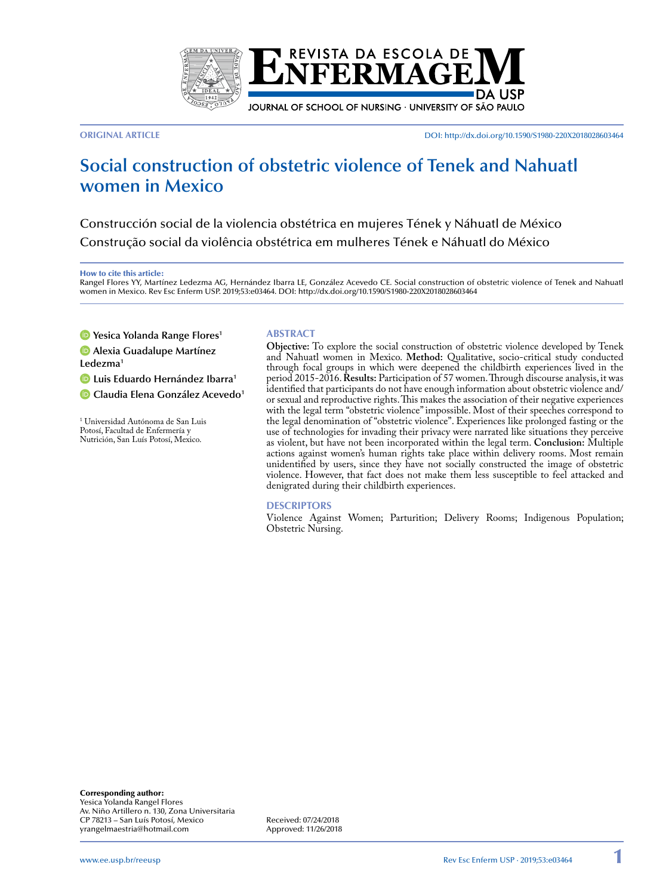

**ORIGINAL ARTICLE** DOI: http://dx.doi.org/10.1590/S1980-220X2018028603464

# **Social construction of obstetric violence of Tenek and Nahuatl women in Mexico**

Construcción social de la violencia obstétrica en mujeres Tének y Náhuatl de México Construção social da violência obstétrica em mulheres Tének e Náhuatl do México

#### How to cite this article:

Rangel Flores YY, Martínez Ledezma AG, Hernández Ibarra LE, González Acevedo CE. Social construction of obstetric violence of Tenek and Nahuatl women in Mexico. Rev Esc Enferm USP. 2019;53:e03464. DOI: http://dx.doi.org/10.1590/S1980-220X2018028603464

*D* Yesica Yolanda Range Flores<sup>1</sup>

**Alexia Guadalupe Martínez Ledezma1**

**D** Luis Eduardo Hernández Ibarra<sup>1</sup>

**Claudia Elena González Acevedo<sup>1</sup>** 

1 Universidad Autónoma de San Luis Potosí, Facultad de Enfermería y Nutrición, San Luís Potosí, Mexico.

# **ABSTRACT**

**Objective:** To explore the social construction of obstetric violence developed by Tenek and Nahuatl women in Mexico. **Method:** Qualitative, socio-critical study conducted through focal groups in which were deepened the childbirth experiences lived in the period 2015-2016. **Results:** Participation of 57 women. Through discourse analysis, it was identified that participants do not have enough information about obstetric violence and/ or sexual and reproductive rights. This makes the association of their negative experiences with the legal term "obstetric violence" impossible. Most of their speeches correspond to the legal denomination of "obstetric violence". Experiences like prolonged fasting or the use of technologies for invading their privacy were narrated like situations they perceive as violent, but have not been incorporated within the legal term. **Conclusion:** Multiple actions against women's human rights take place within delivery rooms. Most remain unidentified by users, since they have not socially constructed the image of obstetric violence. However, that fact does not make them less susceptible to feel attacked and denigrated during their childbirth experiences.

#### **DESCRIPTORS**

Violence Against Women; Parturition; Delivery Rooms; Indigenous Population; Obstetric Nursing.

Received: 07/24/2018 Approved: 11/26/2018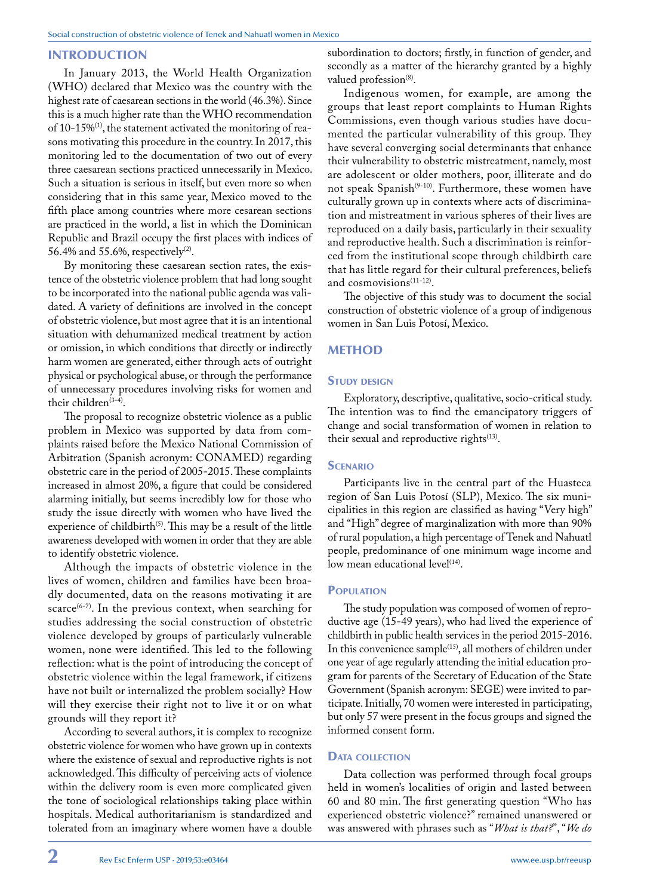# INTRODUCTION

In January 2013, the World Health Organization (WHO) declared that Mexico was the country with the highest rate of caesarean sections in the world (46.3%). Since this is a much higher rate than the WHO recommendation of 10-15%(1), the statement activated the monitoring of reasons motivating this procedure in the country. In 2017, this monitoring led to the documentation of two out of every three caesarean sections practiced unnecessarily in Mexico. Such a situation is serious in itself, but even more so when considering that in this same year, Mexico moved to the fifth place among countries where more cesarean sections are practiced in the world, a list in which the Dominican Republic and Brazil occupy the first places with indices of 56.4% and 55.6%, respectively<sup>(2)</sup>.

By monitoring these caesarean section rates, the existence of the obstetric violence problem that had long sought to be incorporated into the national public agenda was validated. A variety of definitions are involved in the concept of obstetric violence, but most agree that it is an intentional situation with dehumanized medical treatment by action or omission, in which conditions that directly or indirectly harm women are generated, either through acts of outright physical or psychological abuse, or through the performance of unnecessary procedures involving risks for women and their children<sup> $(3-4)$ </sup>.

The proposal to recognize obstetric violence as a public problem in Mexico was supported by data from complaints raised before the Mexico National Commission of Arbitration (Spanish acronym: CONAMED) regarding obstetric care in the period of 2005-2015. These complaints increased in almost 20%, a figure that could be considered alarming initially, but seems incredibly low for those who study the issue directly with women who have lived the experience of childbirth<sup>(5)</sup>. This may be a result of the little awareness developed with women in order that they are able to identify obstetric violence.

Although the impacts of obstetric violence in the lives of women, children and families have been broadly documented, data on the reasons motivating it are scarce<sup> $(6-7)$ </sup>. In the previous context, when searching for studies addressing the social construction of obstetric violence developed by groups of particularly vulnerable women, none were identified. This led to the following reflection: what is the point of introducing the concept of obstetric violence within the legal framework, if citizens have not built or internalized the problem socially? How will they exercise their right not to live it or on what grounds will they report it?

According to several authors, it is complex to recognize obstetric violence for women who have grown up in contexts where the existence of sexual and reproductive rights is not acknowledged. This difficulty of perceiving acts of violence within the delivery room is even more complicated given the tone of sociological relationships taking place within hospitals. Medical authoritarianism is standardized and tolerated from an imaginary where women have a double

subordination to doctors; firstly, in function of gender, and secondly as a matter of the hierarchy granted by a highly valued profession<sup>(8)</sup>.

Indigenous women, for example, are among the groups that least report complaints to Human Rights Commissions, even though various studies have documented the particular vulnerability of this group. They have several converging social determinants that enhance their vulnerability to obstetric mistreatment, namely, most are adolescent or older mothers, poor, illiterate and do not speak Spanish<sup>(9-10)</sup>. Furthermore, these women have culturally grown up in contexts where acts of discrimination and mistreatment in various spheres of their lives are reproduced on a daily basis, particularly in their sexuality and reproductive health. Such a discrimination is reinforced from the institutional scope through childbirth care that has little regard for their cultural preferences, beliefs and cosmovisions<sup>(11-12)</sup>.

The objective of this study was to document the social construction of obstetric violence of a group of indigenous women in San Luis Potosí, Mexico.

# METHOD

#### **STUDY DESIGN**

Exploratory, descriptive, qualitative, socio-critical study. The intention was to find the emancipatory triggers of change and social transformation of women in relation to their sexual and reproductive rights<sup>(13)</sup>.

#### **SCENARIO**

Participants live in the central part of the Huasteca region of San Luis Potosí (SLP), Mexico. The six municipalities in this region are classified as having "Very high" and "High" degree of marginalization with more than 90% of rural population, a high percentage of Tenek and Nahuatl people, predominance of one minimum wage income and low mean educational level<sup>(14)</sup>.

#### **POPULATION**

The study population was composed of women of reproductive age (15-49 years), who had lived the experience of childbirth in public health services in the period 2015-2016. In this convenience sample<sup>(15)</sup>, all mothers of children under one year of age regularly attending the initial education program for parents of the Secretary of Education of the State Government (Spanish acronym: SEGE) were invited to participate. Initially, 70 women were interested in participating, but only 57 were present in the focus groups and signed the informed consent form.

#### DATA COLLECTION

Data collection was performed through focal groups held in women's localities of origin and lasted between 60 and 80 min. The first generating question "Who has experienced obstetric violence?" remained unanswered or was answered with phrases such as "*What is that?*", "*We do*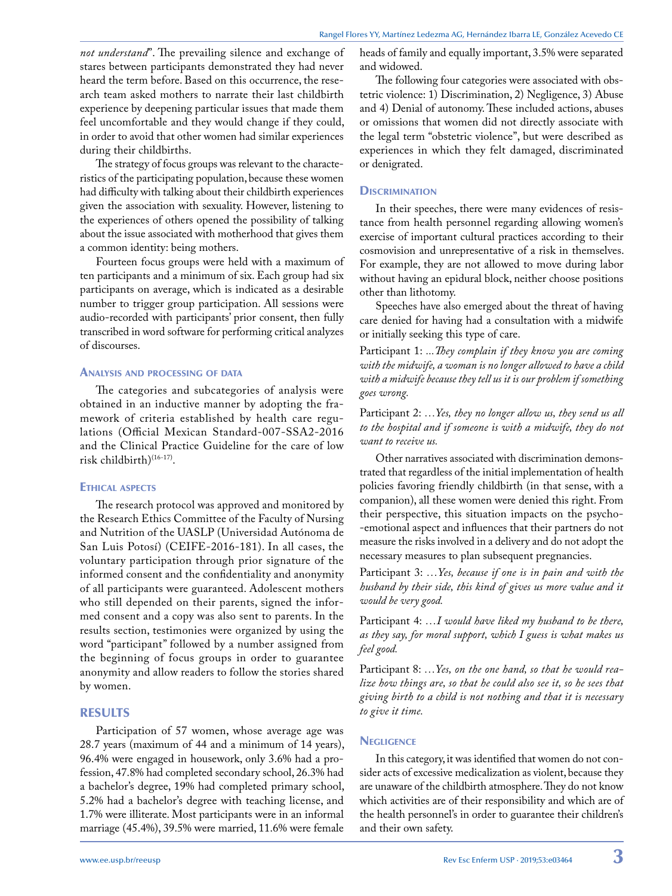*not understand*". The prevailing silence and exchange of stares between participants demonstrated they had never heard the term before. Based on this occurrence, the research team asked mothers to narrate their last childbirth experience by deepening particular issues that made them feel uncomfortable and they would change if they could, in order to avoid that other women had similar experiences during their childbirths.

The strategy of focus groups was relevant to the characteristics of the participating population, because these women had difficulty with talking about their childbirth experiences given the association with sexuality. However, listening to the experiences of others opened the possibility of talking about the issue associated with motherhood that gives them a common identity: being mothers.

Fourteen focus groups were held with a maximum of ten participants and a minimum of six. Each group had six participants on average, which is indicated as a desirable number to trigger group participation. All sessions were audio-recorded with participants' prior consent, then fully transcribed in word software for performing critical analyzes of discourses.

#### Analysis and processing of data

The categories and subcategories of analysis were obtained in an inductive manner by adopting the framework of criteria established by health care regulations (Official Mexican Standard-007-SSA2-2016 and the Clinical Practice Guideline for the care of low risk childbirth)(16-17).

# Ethical aspects

The research protocol was approved and monitored by the Research Ethics Committee of the Faculty of Nursing and Nutrition of the UASLP (Universidad Autónoma de San Luis Potosí) (CEIFE-2016-181). In all cases, the voluntary participation through prior signature of the informed consent and the confidentiality and anonymity of all participants were guaranteed. Adolescent mothers who still depended on their parents, signed the informed consent and a copy was also sent to parents. In the results section, testimonies were organized by using the word "participant" followed by a number assigned from the beginning of focus groups in order to guarantee anonymity and allow readers to follow the stories shared by women.

# RESULTS

Participation of 57 women, whose average age was 28.7 years (maximum of 44 and a minimum of 14 years), 96.4% were engaged in housework, only 3.6% had a profession, 47.8% had completed secondary school, 26.3% had a bachelor's degree, 19% had completed primary school, 5.2% had a bachelor's degree with teaching license, and 1.7% were illiterate. Most participants were in an informal marriage (45.4%), 39.5% were married, 11.6% were female

heads of family and equally important, 3.5% were separated and widowed.

The following four categories were associated with obstetric violence: 1) Discrimination, 2) Negligence, 3) Abuse and 4) Denial of autonomy. These included actions, abuses or omissions that women did not directly associate with the legal term "obstetric violence", but were described as experiences in which they felt damaged, discriminated or denigrated.

# **DISCRIMINATION**

In their speeches, there were many evidences of resistance from health personnel regarding allowing women's exercise of important cultural practices according to their cosmovision and unrepresentative of a risk in themselves. For example, they are not allowed to move during labor without having an epidural block, neither choose positions other than lithotomy.

Speeches have also emerged about the threat of having care denied for having had a consultation with a midwife or initially seeking this type of care.

Participant 1: *...They complain if they know you are coming with the midwife, a woman is no longer allowed to have a child with a midwife because they tell us it is our problem if something goes wrong.*

Participant 2: *…Yes, they no longer allow us, they send us all to the hospital and if someone is with a midwife, they do not want to receive us.*

Other narratives associated with discrimination demonstrated that regardless of the initial implementation of health policies favoring friendly childbirth (in that sense, with a companion), all these women were denied this right. From their perspective, this situation impacts on the psycho- -emotional aspect and influences that their partners do not measure the risks involved in a delivery and do not adopt the necessary measures to plan subsequent pregnancies.

Participant 3: *…Yes, because if one is in pain and with the husband by their side, this kind of gives us more value and it would be very good.*

Participant 4: *…I would have liked my husband to be there, as they say, for moral support, which I guess is what makes us feel good.*

Participant 8: *…Yes, on the one hand, so that he would realize how things are, so that he could also see it, so he sees that giving birth to a child is not nothing and that it is necessary to give it time.*

# **NEGLIGENCE**

In this category, it was identified that women do not consider acts of excessive medicalization as violent, because they are unaware of the childbirth atmosphere. They do not know which activities are of their responsibility and which are of the health personnel's in order to guarantee their children's and their own safety.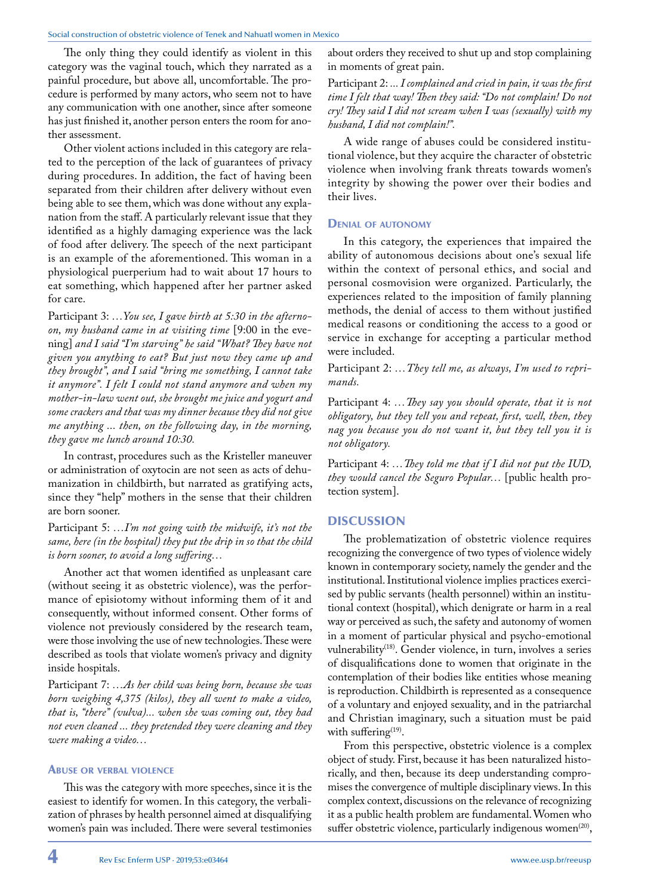The only thing they could identify as violent in this category was the vaginal touch, which they narrated as a painful procedure, but above all, uncomfortable. The procedure is performed by many actors, who seem not to have any communication with one another, since after someone has just finished it, another person enters the room for another assessment.

Other violent actions included in this category are related to the perception of the lack of guarantees of privacy during procedures. In addition, the fact of having been separated from their children after delivery without even being able to see them, which was done without any explanation from the staff. A particularly relevant issue that they identified as a highly damaging experience was the lack of food after delivery. The speech of the next participant is an example of the aforementioned. This woman in a physiological puerperium had to wait about 17 hours to eat something, which happened after her partner asked for care.

Participant 3: *…You see, I gave birth at 5:30 in the afternoon, my husband came in at visiting time* [9:00 in the evening] *and I said "I'm starving" he said "What? They have not given you anything to eat? But just now they came up and they brought", and I said "bring me something, I cannot take it anymore". I felt I could not stand anymore and when my mother-in-law went out, she brought me juice and yogurt and some crackers and that was my dinner because they did not give me anything ... then, on the following day, in the morning, they gave me lunch around 10:30.*

In contrast, procedures such as the Kristeller maneuver or administration of oxytocin are not seen as acts of dehumanization in childbirth, but narrated as gratifying acts, since they "help" mothers in the sense that their children are born sooner.

Participant 5: *…I'm not going with the midwife, it's not the same, here (in the hospital) they put the drip in so that the child is born sooner, to avoid a long suffering…*

Another act that women identified as unpleasant care (without seeing it as obstetric violence), was the performance of episiotomy without informing them of it and consequently, without informed consent. Other forms of violence not previously considered by the research team, were those involving the use of new technologies. These were described as tools that violate women's privacy and dignity inside hospitals.

Participant 7: *…As her child was being born, because she was born weighing 4,375 (kilos), they all went to make a video, that is, "there" (vulva)... when she was coming out, they had not even cleaned ... they pretended they were cleaning and they were making a video…*

#### Abuse or verbal violence

This was the category with more speeches, since it is the easiest to identify for women. In this category, the verbalization of phrases by health personnel aimed at disqualifying women's pain was included. There were several testimonies

about orders they received to shut up and stop complaining in moments of great pain.

Participant 2: *... I complained and cried in pain, it was the first time I felt that way! Then they said: "Do not complain! Do not cry! They said I did not scream when I was (sexually) with my husband, I did not complain!".*

A wide range of abuses could be considered institutional violence, but they acquire the character of obstetric violence when involving frank threats towards women's integrity by showing the power over their bodies and their lives.

#### Denial of autonomy

In this category, the experiences that impaired the ability of autonomous decisions about one's sexual life within the context of personal ethics, and social and personal cosmovision were organized. Particularly, the experiences related to the imposition of family planning methods, the denial of access to them without justified medical reasons or conditioning the access to a good or service in exchange for accepting a particular method were included.

Participant 2: *…They tell me, as always, I'm used to reprimands.*

Participant 4: *…They say you should operate, that it is not obligatory, but they tell you and repeat, first, well, then, they nag you because you do not want it, but they tell you it is not obligatory.*

Participant 4: *…They told me that if I did not put the IUD, they would cancel the Seguro Popular…* [public health protection system].

# **DISCUSSION**

The problematization of obstetric violence requires recognizing the convergence of two types of violence widely known in contemporary society, namely the gender and the institutional. Institutional violence implies practices exercised by public servants (health personnel) within an institutional context (hospital), which denigrate or harm in a real way or perceived as such, the safety and autonomy of women in a moment of particular physical and psycho-emotional vulnerability<sup>(18)</sup>. Gender violence, in turn, involves a series of disqualifications done to women that originate in the contemplation of their bodies like entities whose meaning is reproduction. Childbirth is represented as a consequence of a voluntary and enjoyed sexuality, and in the patriarchal and Christian imaginary, such a situation must be paid with suffering $(19)$ .

From this perspective, obstetric violence is a complex object of study. First, because it has been naturalized historically, and then, because its deep understanding compromises the convergence of multiple disciplinary views. In this complex context, discussions on the relevance of recognizing it as a public health problem are fundamental. Women who suffer obstetric violence, particularly indigenous women<sup>(20)</sup>,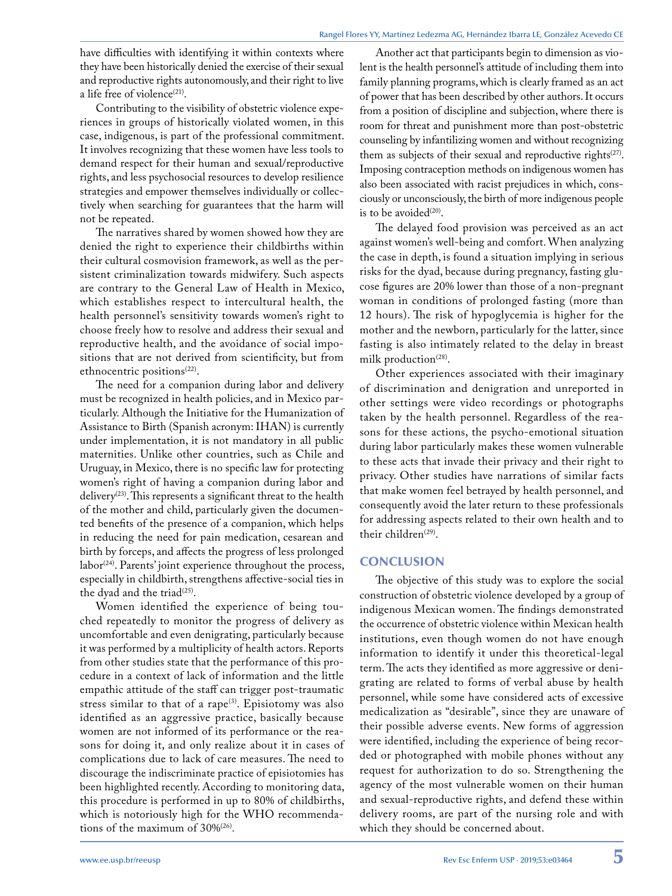have difficulties with identifying it within contexts where they have been historically denied the exercise of their sexual and reproductive rights autonomously, and their right to live a life free of violence<sup>(21)</sup>.

Contributing to the visibility of obstetric violence experiences in groups of historically violated women, in this case, indigenous, is part of the professional commitment. It involves recognizing that these women have less tools to demand respect for their human and sexual/reproductive rights, and less psychosocial resources to develop resilience strategies and empower themselves individually or collectively when searching for guarantees that the harm will not be repeated.

The narratives shared by women showed how they are denied the right to experience their childbirths within their cultural cosmovision framework, as well as the persistent criminalization towards midwifery. Such aspects are contrary to the General Law of Health in Mexico, which establishes respect to intercultural health, the health personnel's sensitivity towards women's right to choose freely how to resolve and address their sexual and reproductive health, and the avoidance of social impositions that are not derived from scientificity, but from ethnocentric positions<sup>(22)</sup>.

The need for a companion during labor and delivery must be recognized in health policies, and in Mexico particularly. Although the Initiative for the Humanization of Assistance to Birth (Spanish acronym: IHAN) is currently under implementation, it is not mandatory in all public maternities. Unlike other countries, such as Chile and Uruguay, in Mexico, there is no specific law for protecting women's right of having a companion during labor and delivery<sup>(23)</sup>. This represents a significant threat to the health of the mother and child, particularly given the documented benefits of the presence of a companion, which helps in reducing the need for pain medication, cesarean and birth by forceps, and affects the progress of less prolonged labor<sup>(24)</sup>. Parents' joint experience throughout the process, especially in childbirth, strengthens affective-social ties in the dyad and the triad<sup>(25)</sup>.

Women identified the experience of being touched repeatedly to monitor the progress of delivery as uncomfortable and even denigrating, particularly because it was performed by a multiplicity of health actors. Reports from other studies state that the performance of this procedure in a context of lack of information and the little empathic attitude of the staff can trigger post-traumatic stress similar to that of a rape $(3)$ . Episiotomy was also identified as an aggressive practice, basically because women are not informed of its performance or the reasons for doing it, and only realize about it in cases of complications due to lack of care measures. The need to discourage the indiscriminate practice of episiotomies has been highlighted recently. According to monitoring data, this procedure is performed in up to 80% of childbirths, which is notoriously high for the WHO recommendations of the maximum of 30%(26).

Another act that participants begin to dimension as violent is the health personnel's attitude of including them into family planning programs, which is clearly framed as an act of power that has been described by other authors. It occurs from a position of discipline and subjection, where there is room for threat and punishment more than post-obstetric counseling by infantilizing women and without recognizing them as subjects of their sexual and reproductive rights $(27)$ . Imposing contraception methods on indigenous women has also been associated with racist prejudices in which, consciously or unconsciously, the birth of more indigenous people is to be avoided $(20)$ .

The delayed food provision was perceived as an act against women's well-being and comfort. When analyzing the case in depth, is found a situation implying in serious risks for the dyad, because during pregnancy, fasting glucose figures are 20% lower than those of a non-pregnant woman in conditions of prolonged fasting (more than 12 hours). The risk of hypoglycemia is higher for the mother and the newborn, particularly for the latter, since fasting is also intimately related to the delay in breast milk production<sup>(28)</sup>.

Other experiences associated with their imaginary of discrimination and denigration and unreported in other settings were video recordings or photographs taken by the health personnel. Regardless of the reasons for these actions, the psycho-emotional situation during labor particularly makes these women vulnerable to these acts that invade their privacy and their right to privacy. Other studies have narrations of similar facts that make women feel betrayed by health personnel, and consequently avoid the later return to these professionals for addressing aspects related to their own health and to their children<sup>(29)</sup>.

# **CONCLUSION**

The objective of this study was to explore the social construction of obstetric violence developed by a group of indigenous Mexican women. The findings demonstrated the occurrence of obstetric violence within Mexican health institutions, even though women do not have enough information to identify it under this theoretical-legal term. The acts they identified as more aggressive or denigrating are related to forms of verbal abuse by health personnel, while some have considered acts of excessive medicalization as "desirable", since they are unaware of their possible adverse events. New forms of aggression were identified, including the experience of being recorded or photographed with mobile phones without any request for authorization to do so. Strengthening the agency of the most vulnerable women on their human and sexual-reproductive rights, and defend these within delivery rooms, are part of the nursing role and with which they should be concerned about.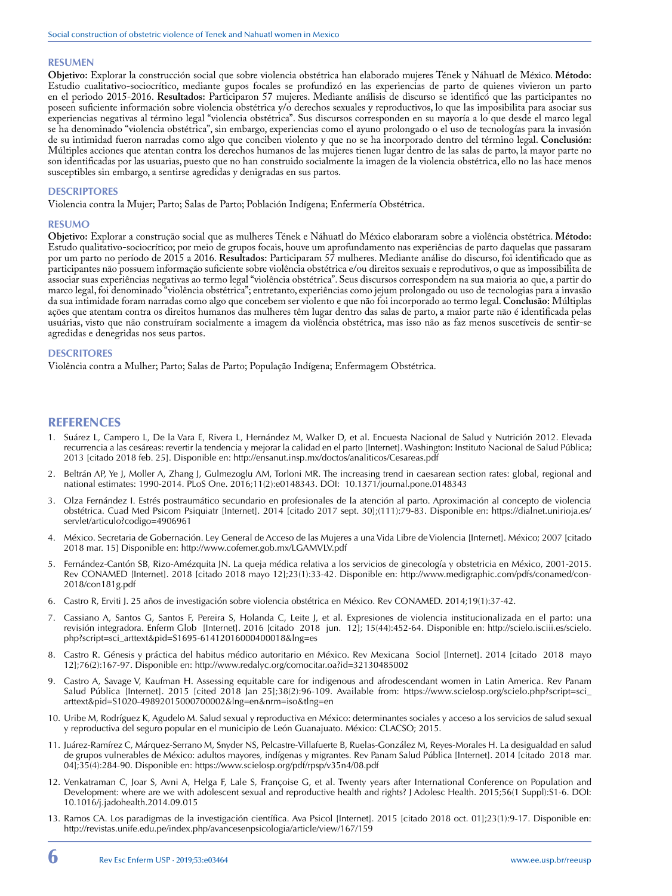#### **RESUMEN**

**Objetivo:** Explorar la construcción social que sobre violencia obstétrica han elaborado mujeres Tének y Náhuatl de México. **Método:** Estudio cualitativo-sociocrítico, mediante gupos focales se profundizó en las experiencias de parto de quienes vivieron un parto en el periodo 2015-2016. **Resultados:** Participaron 57 mujeres. Mediante análisis de discurso se identificó que las participantes no poseen suficiente información sobre violencia obstétrica y/o derechos sexuales y reproductivos, lo que las imposibilita para asociar sus experiencias negativas al término legal "violencia obstétrica". Sus discursos corresponden en su mayoría a lo que desde el marco legal se ha denominado "violencia obstétrica", sin embargo, experiencias como el ayuno prolongado o el uso de tecnologías para la invasión de su intimidad fueron narradas como algo que conciben violento y que no se ha incorporado dentro del término legal. **Conclusión:** Múltiples acciones que atentan contra los derechos humanos de las mujeres tienen lugar dentro de las salas de parto, la mayor parte no son identificadas por las usuarias, puesto que no han construido socialmente la imagen de la violencia obstétrica, ello no las hace menos susceptibles sin embargo, a sentirse agredidas y denigradas en sus partos.

#### **DESCRIPTORES**

Violencia contra la Mujer; Parto; Salas de Parto; Población Indígena; Enfermería Obstétrica.

#### **RESUMO**

**Objetivo:** Explorar a construção social que as mulheres Tének e Náhuatl do México elaboraram sobre a violência obstétrica. **Método:** Estudo qualitativo-sociocrítico; por meio de grupos focais, houve um aprofundamento nas experiências de parto daquelas que passaram por um parto no período de 2015 a 2016. **Resultados:** Participaram 57 mulheres. Mediante análise do discurso, foi identificado que as participantes não possuem informação suficiente sobre violência obstétrica e/ou direitos sexuais e reprodutivos, o que as impossibilita de associar suas experiências negativas ao termo legal "violência obstétrica". Seus discursos correspondem na sua maioria ao que, a partir do marco legal, foi denominado "violência obstétrica"; entretanto, experiências como jejum prolongado ou uso de tecnologias para a invasão da sua intimidade foram narradas como algo que concebem ser violento e que não foi incorporado ao termo legal. **Conclusão:** Múltiplas ações que atentam contra os direitos humanos das mulheres têm lugar dentro das salas de parto, a maior parte não é identificada pelas usuárias, visto que não construíram socialmente a imagem da violência obstétrica, mas isso não as faz menos suscetíveis de sentir-se agredidas e denegridas nos seus partos.

#### **DESCRITORES**

Violência contra a Mulher; Parto; Salas de Parto; População Indígena; Enfermagem Obstétrica.

#### REFERENCES

- 1. Suárez L, Campero L, De la Vara E, Rivera L, Hernández M, Walker D, et al. Encuesta Nacional de Salud y Nutrición 2012. Elevada recurrencia a las cesáreas: revertir la tendencia y mejorar la calidad en el parto [Internet]. Washington: Instituto Nacional de Salud Pública; 2013 [citado 2018 feb. 25]. Disponible en: http://ensanut.insp.mx/doctos/analiticos/Cesareas.pdf
- 2. Beltrán AP, Ye J, Moller A, Zhang J, Gulmezoglu AM, Torloni MR. The increasing trend in caesarean section rates: global, regional and national estimates: 1990-2014. PLoS One. 2016;11(2):e0148343. DOI: [10.1371/journal.pone.0148343](https://dx.doi.org/10.1371%2Fjournal.pone.0148343)
- 3. Olza Fernández I. Estrés postraumático secundario en profesionales de la atención al parto. Aproximación al concepto de violencia obstétrica. Cuad Med Psicom Psiquiatr [Internet]. 2014 [citado 2017 sept. 30];(111):79-83. Disponible en: https://dialnet.unirioja.es/ servlet/articulo?codigo=4906961
- 4. México. Secretaria de Gobernación. Ley General de Acceso de las Mujeres a una Vida Libre de Violencia [Internet]. México; 2007 [citado 2018 mar. 15] Disponible en: http://www.cofemer.gob.mx/LGAMVLV.pdf
- 5. Fernández-Cantón SB, Rizo-Amézquita JN. La queja médica relativa a los servicios de ginecología y obstetricia en México, 2001-2015. Rev CONAMED [Internet]. 2018 [citado 2018 mayo 12];23(1):33-42. Disponible en: [http://www.medigraphic.com/pdfs/conamed/con-](http://www.medigraphic.com/pdfs/conamed/con-2018/con181g.pdf)[2018/con181g.pdf](http://www.medigraphic.com/pdfs/conamed/con-2018/con181g.pdf)
- 6. Castro R, Erviti J. 25 años de investigación sobre violencia obstétrica en México. Rev CONAMED. 2014;19(1):37-42.
- 7. Cassiano A, Santos G, Santos F, Pereira S, Holanda C, Leite J, et al. Expresiones de violencia institucionalizada en el parto: una revisión integradora. Enferm Glob [Internet]. 2016 [citado 2018 jun. 12]; 15(44):452-64. Disponible en: http://scielo.isciii.es/scielo. php?script=sci\_arttext&pid=S1695-61412016000400018&lng=es
- 8. Castro R. Génesis y práctica del habitus médico autoritario en México. Rev Mexicana Sociol [Internet]. 2014 [citado 2018 mayo 12];76(2):167-97. Disponible en: http://www.redalyc.org/comocitar.oa?id=32130485002
- 9. Castro A, Savage V, Kaufman H. Assessing equitable care for indigenous and afrodescendant women in Latin America. Rev Panam Salud Pública [Internet]. 2015 [cited 2018 Jan 25];38(2):96-109. Available from: https://www.scielosp.org/scielo.php?script=sci\_ arttext&pid=S1020-49892015000700002&lng=en&nrm=iso&tlng=en
- 10. Uribe M, Rodríguez K, Agudelo M. Salud sexual y reproductiva en México: determinantes sociales y acceso a los servicios de salud sexual y reproductiva del seguro popular en el municipio de León Guanajuato. México: CLACSO; 2015.
- 11. Juárez-Ramírez C, Márquez-Serrano M, Snyder NS, Pelcastre-Villafuerte B, Ruelas-González M, Reyes-Morales H. La desigualdad en salud de grupos vulnerables de México: adultos mayores, indígenas y migrantes. Rev Panam Salud Pública [Internet]. 2014 [citado 2018 mar. 04];35(4):284-90. Disponible en: https://www.scielosp.org/pdf/rpsp/v35n4/08.pdf
- 12. Venkatraman C, Joar S, Avni A, Helga F, Lale S, Françoise G, et al. Twenty years after International Conference on Population and Development: where are we with adolescent sexual and reproductive health and rights? [J Adolesc Health.](https://www.ncbi.nlm.nih.gov/pubmed/25528975) 2015;56(1 Suppl):S1-6. DOI: 10.1016/j.jadohealth.2014.09.015
- 13. Ramos CA. Los paradigmas de la investigación científica. Ava Psicol [Internet]. 2015 [citado 2018 oct. 01];23(1):9-17. Disponible en: http://revistas.unife.edu.pe/index.php/avancesenpsicologia/article/view/167/159